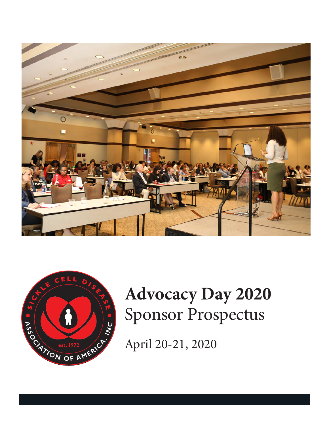



# **Advocacy Day 2020** Sponsor Prospectus

April 20-21, 2020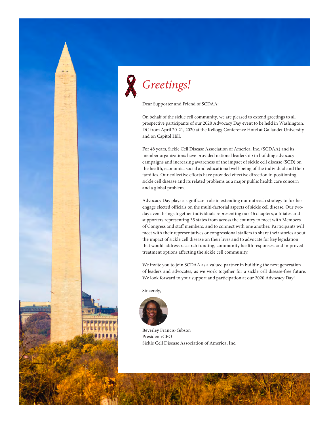

# *Greetings!*

Dear Supporter and Friend of SCDAA:

On behalf of the sickle cell community, we are pleased to extend greetings to all prospective participants of our 2020 Advocacy Day event to be held in Washington, DC from April 20-21, 2020 at the Kellogg Conference Hotel at Gallaudet University and on Capitol Hill.

For 48 years, Sickle Cell Disease Association of America, Inc. (SCDAA) and its member organizations have provided national leadership in building advocacy campaigns and increasing awareness of the impact of sickle cell disease (SCD) on the health, economic, social and educational well-being of the individual and their families. Our collective efforts have provided effective direction in positioning sickle cell disease and its related problems as a major public health care concern and a global problem.

Advocacy Day plays a significant role in extending our outreach strategy to further engage elected officials on the multi-factorial aspects of sickle cell disease. Our twoday event brings together individuals representing our 46 chapters, affiliates and supporters representing 35 states from across the country to meet with Members of Congress and staff members, and to connect with one another. Participants will meet with their representatives or congressional staffers to share their stories about the impact of sickle cell disease on their lives and to advocate for key legislation that would address research funding, community health responses, and improved treatment options affecting the sickle cell community.

We invite you to join SCDAA as a valued partner in building the next generation of leaders and advocates, as we work together for a sickle cell disease-free future. We look forward to your support and participation at our 2020 Advocacy Day!

Sincerely,



Beverley Francis-Gibson President/CEO Sickle Cell Disease Association of America, Inc.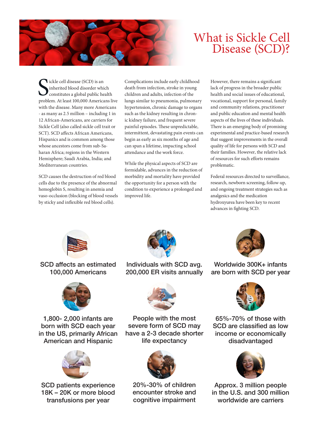

## What is Sickle Cell Disease (SCD)?

Sickle cell disease (SCD) is an<br>
sinherited blood disorder which<br>
problem. At least 100,000 Americans live ickle cell disease (SCD) is an inherited blood disorder which constitutes a global public health with the disease. Many more Americans - as many as 2.5 million – including 1 in 12 African-Americans, are carriers for Sickle Cell (also called sickle cell trait or SCT). SCD affects African Americans, Hispanics and is common among those whose ancestors come from sub-Saharan Africa; regions in the Western Hemisphere; Saudi Arabia, India; and Mediterranean countries.

SCD causes the destruction of red blood cells due to the presence of the abnormal hemoglobin S, resulting in anemia and vaso-occlusion (blocking of blood vessels by sticky and inflexible red blood cells).

Complications include early childhood death from infection, stroke in young children and adults, infection of the lungs similar to pneumonia, pulmonary hypertension, chronic damage to organs such as the kidney resulting in chronic kidney failure, and frequent severe painful episodes. These unpredictable, intermittent, devastating pain events can begin as early as six months of age and can span a lifetime, impacting school attendance and the work force.

While the physical aspects of SCD are formidable, advances in the reduction of morbidity and mortality have provided the opportunity for a person with the condition to experience a prolonged and improved life.

However, there remains a significant lack of progress in the broader public health and social issues of educational, vocational, support for personal, family and community relations, practitioner and public education and mental health aspects of the lives of these individuals. There is an emerging body of promising experimental and practice-based research that suggest improvements in the overall quality of life for persons with SCD and their families. However, the relative lack of resources for such efforts remains problematic.

Federal resources directed to surveillance, research, newborn screening, follow-up, and ongoing treatment strategies such as analgesics and the medication hydroxyurea have been key to recent advances in fighting SCD.



#### SCD affects an estimated 100,000 Americans



1,800- 2,000 infants are born with SCD each year in the US, primarily African American and Hispanic



SCD patients experience 18K – 20K or more blood transfusions per year



Individuals with SCD avg. 200,000 ER visits annually



People with the most severe form of SCD may have a 2-3 decade shorter life expectancy



20%-30% of children encounter stroke and cognitive impairment



Worldwide 300K+ infants are born with SCD per year



65%-70% of those with SCD are classified as low income or economically disadvantaged



Approx. 3 million people in the U.S. and 300 million worldwide are carriers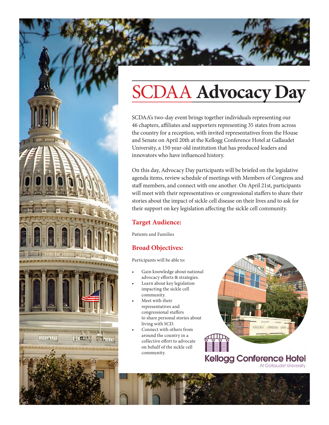# SCDAA **Advocacy Day**

SCDAA's two-day event brings together individuals representing our 46 chapters, affiliates and supporters representing 35 states from across the country for a reception, with invited representatives from the House and Senate on April 20th at the Kellogg Conference Hotel at Gallaudet University, a 150 year-old institution that has produced leaders and innovators who have influenced history.

On this day, Advocacy Day participants will be briefed on the legislative agenda items, review schedule of meetings with Members of Congress and staff members, and connect with one another. On April 21st, participants will meet with their representatives or congressional staffers to share their stories about the impact of sickle cell disease on their lives and to ask for their support on key legislation affecting the sickle cell community.

#### **Target Audience:**

Patients and Families

**ROUT HITTEL** 

------------------------

BREADERS CONFERENCE

,,,,,,,,,,

#### **Broad Objectives:**

Participants will be able to:

- Gain knowledge about national advocacy efforts & strategies.
- Learn about key legislation impacting the sickle cell community.
- Meet with their representatives and congressional staffers to share personal stories about living with SCD.
- Connect with others from around the country in a collective effort to advocate on behalf of the sickle cell community.



At Gallaudet University